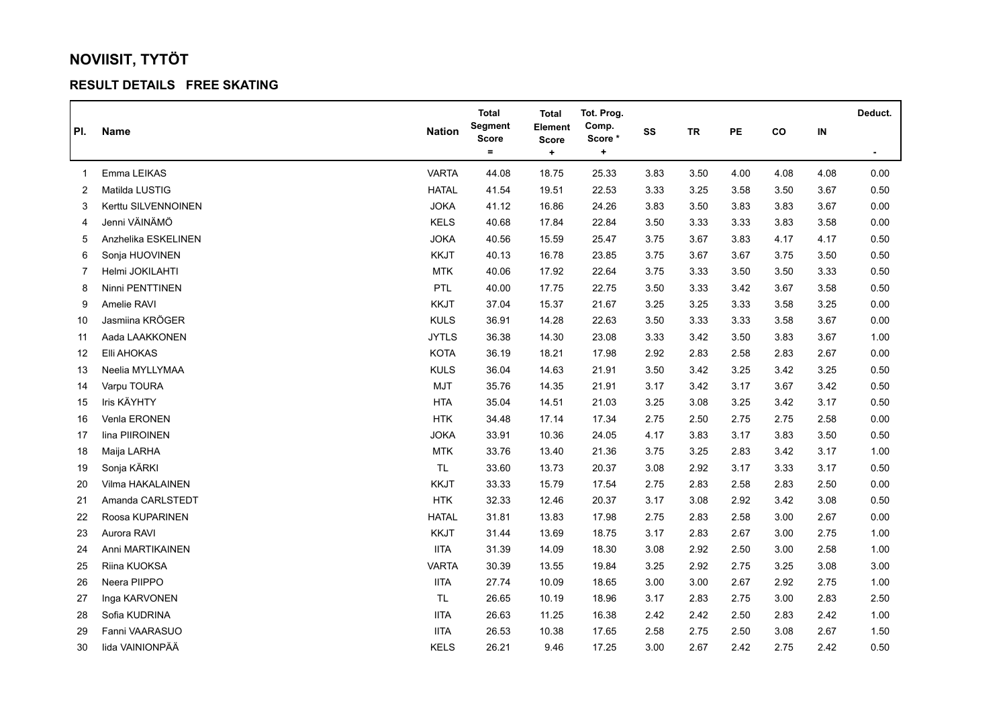## **NOVIISIT, TYTÖT**

## **RESULT DETAILS FREE SKATING**

|                |                     |               | <b>Total</b>            | <b>Total</b>              | Tot. Prog.      |      |           |      |      |          | Deduct.        |
|----------------|---------------------|---------------|-------------------------|---------------------------|-----------------|------|-----------|------|------|----------|----------------|
| PI.            | <b>Name</b>         | <b>Nation</b> | Segment<br><b>Score</b> | Element                   | Comp.<br>Score* | SS   | <b>TR</b> | PE   | co   | $\sf IN$ |                |
|                |                     |               | $\equiv$                | <b>Score</b><br>$\ddot{}$ | ٠               |      |           |      |      |          | $\blacksquare$ |
| 1              | Emma LEIKAS         | <b>VARTA</b>  | 44.08                   | 18.75                     | 25.33           | 3.83 | 3.50      | 4.00 | 4.08 | 4.08     | 0.00           |
| 2              | Matilda LUSTIG      | <b>HATAL</b>  | 41.54                   | 19.51                     | 22.53           | 3.33 | 3.25      | 3.58 | 3.50 | 3.67     | 0.50           |
| 3              | Kerttu SILVENNOINEN | <b>JOKA</b>   | 41.12                   | 16.86                     | 24.26           | 3.83 | 3.50      | 3.83 | 3.83 | 3.67     | 0.00           |
| 4              | Jenni VÄINÄMÖ       | KELS          | 40.68                   | 17.84                     | 22.84           | 3.50 | 3.33      | 3.33 | 3.83 | 3.58     | 0.00           |
| 5              | Anzhelika ESKELINEN | <b>JOKA</b>   | 40.56                   | 15.59                     | 25.47           | 3.75 | 3.67      | 3.83 | 4.17 | 4.17     | 0.50           |
| 6              | Sonja HUOVINEN      | <b>KKJT</b>   | 40.13                   | 16.78                     | 23.85           | 3.75 | 3.67      | 3.67 | 3.75 | 3.50     | 0.50           |
| $\overline{7}$ | Helmi JOKILAHTI     | <b>MTK</b>    | 40.06                   | 17.92                     | 22.64           | 3.75 | 3.33      | 3.50 | 3.50 | 3.33     | 0.50           |
| 8              | Ninni PENTTINEN     | <b>PTL</b>    | 40.00                   | 17.75                     | 22.75           | 3.50 | 3.33      | 3.42 | 3.67 | 3.58     | 0.50           |
| 9              | Amelie RAVI         | <b>KKJT</b>   | 37.04                   | 15.37                     | 21.67           | 3.25 | 3.25      | 3.33 | 3.58 | 3.25     | 0.00           |
| 10             | Jasmiina KRÖGER     | <b>KULS</b>   | 36.91                   | 14.28                     | 22.63           | 3.50 | 3.33      | 3.33 | 3.58 | 3.67     | 0.00           |
| 11             | Aada LAAKKONEN      | <b>JYTLS</b>  | 36.38                   | 14.30                     | 23.08           | 3.33 | 3.42      | 3.50 | 3.83 | 3.67     | 1.00           |
| 12             | Elli AHOKAS         | KOTA          | 36.19                   | 18.21                     | 17.98           | 2.92 | 2.83      | 2.58 | 2.83 | 2.67     | 0.00           |
| 13             | Neelia MYLLYMAA     | <b>KULS</b>   | 36.04                   | 14.63                     | 21.91           | 3.50 | 3.42      | 3.25 | 3.42 | 3.25     | 0.50           |
| 14             | Varpu TOURA         | <b>MJT</b>    | 35.76                   | 14.35                     | 21.91           | 3.17 | 3.42      | 3.17 | 3.67 | 3.42     | 0.50           |
| 15             | Iris KÄYHTY         | <b>HTA</b>    | 35.04                   | 14.51                     | 21.03           | 3.25 | 3.08      | 3.25 | 3.42 | 3.17     | 0.50           |
| 16             | Venla ERONEN        | <b>HTK</b>    | 34.48                   | 17.14                     | 17.34           | 2.75 | 2.50      | 2.75 | 2.75 | 2.58     | 0.00           |
| 17             | lina PIIROINEN      | <b>JOKA</b>   | 33.91                   | 10.36                     | 24.05           | 4.17 | 3.83      | 3.17 | 3.83 | 3.50     | 0.50           |
| 18             | Maija LARHA         | <b>MTK</b>    | 33.76                   | 13.40                     | 21.36           | 3.75 | 3.25      | 2.83 | 3.42 | 3.17     | 1.00           |
| 19             | Sonja KÄRKI         | TL.           | 33.60                   | 13.73                     | 20.37           | 3.08 | 2.92      | 3.17 | 3.33 | 3.17     | 0.50           |
| 20             | Vilma HAKALAINEN    | <b>KKJT</b>   | 33.33                   | 15.79                     | 17.54           | 2.75 | 2.83      | 2.58 | 2.83 | 2.50     | 0.00           |
| 21             | Amanda CARLSTEDT    | HTK           | 32.33                   | 12.46                     | 20.37           | 3.17 | 3.08      | 2.92 | 3.42 | 3.08     | 0.50           |
| 22             | Roosa KUPARINEN     | <b>HATAL</b>  | 31.81                   | 13.83                     | 17.98           | 2.75 | 2.83      | 2.58 | 3.00 | 2.67     | 0.00           |
| 23             | Aurora RAVI         | KKJT          | 31.44                   | 13.69                     | 18.75           | 3.17 | 2.83      | 2.67 | 3.00 | 2.75     | 1.00           |
| 24             | Anni MARTIKAINEN    | <b>IITA</b>   | 31.39                   | 14.09                     | 18.30           | 3.08 | 2.92      | 2.50 | 3.00 | 2.58     | 1.00           |
| 25             | Riina KUOKSA        | <b>VARTA</b>  | 30.39                   | 13.55                     | 19.84           | 3.25 | 2.92      | 2.75 | 3.25 | 3.08     | 3.00           |
| 26             | Neera PIIPPO        | <b>IITA</b>   | 27.74                   | 10.09                     | 18.65           | 3.00 | 3.00      | 2.67 | 2.92 | 2.75     | 1.00           |
| 27             | Inga KARVONEN       | TL.           | 26.65                   | 10.19                     | 18.96           | 3.17 | 2.83      | 2.75 | 3.00 | 2.83     | 2.50           |
| 28             | Sofia KUDRINA       | <b>IITA</b>   | 26.63                   | 11.25                     | 16.38           | 2.42 | 2.42      | 2.50 | 2.83 | 2.42     | 1.00           |
| 29             | Fanni VAARASUO      | <b>IITA</b>   | 26.53                   | 10.38                     | 17.65           | 2.58 | 2.75      | 2.50 | 3.08 | 2.67     | 1.50           |
| 30             | lida VAINIONPÄÄ     | <b>KELS</b>   | 26.21                   | 9.46                      | 17.25           | 3.00 | 2.67      | 2.42 | 2.75 | 2.42     | 0.50           |